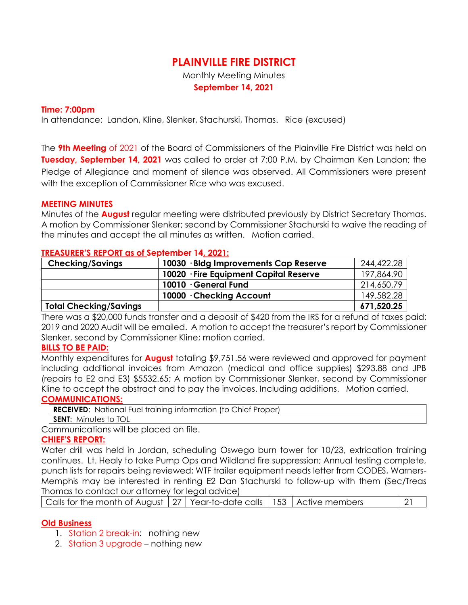## **PLAINVILLE FIRE DISTRICT**

Monthly Meeting Minutes **September 14, 2021**

#### **Time: 7:00pm**

In attendance: Landon, Kline, Slenker, Stachurski, Thomas. Rice (excused)

The **9th Meeting** of 2021 of the Board of Commissioners of the Plainville Fire District was held on **Tuesday, September 14, 2021** was called to order at 7:00 P.M. by Chairman Ken Landon; the Pledge of Allegiance and moment of silence was observed. All Commissioners were present with the exception of Commissioner Rice who was excused.

#### **MEETING MINUTES**

Minutes of the **August** regular meeting were distributed previously by District Secretary Thomas. A motion by Commissioner Slenker; second by Commissioner Stachurski to waive the reading of the minutes and accept the all minutes as written. Motion carried.

#### **TREASURER'S REPORT as of September 14, 2021:**

| <b>Checking/Savings</b>       | 10030 · Bldg Improvements Cap Reserve  | 244,422.28 |
|-------------------------------|----------------------------------------|------------|
|                               | 10020 · Fire Equipment Capital Reserve | 197,864.90 |
|                               | 10010 · General Fund                   | 214,650.79 |
|                               | 10000 Checking Account                 | 149,582.28 |
| <b>Total Checking/Savings</b> |                                        | 671,520.25 |

There was a \$20,000 funds transfer and a deposit of \$420 from the IRS for a refund of taxes paid; 2019 and 2020 Audit will be emailed. A motion to accept the treasurer's report by Commissioner Slenker, second by Commissioner Kline; motion carried.

#### **BILLS TO BE PAID:**

Monthly expenditures for **August** totaling \$9,751.56 were reviewed and approved for payment including additional invoices from Amazon (medical and office supplies) \$293.88 and JPB (repairs to E2 and E3) \$5532.65; A motion by Commissioner Slenker, second by Commissioner Kline to accept the abstract and to pay the invoices. Including additions. Motion carried. **COMMUNICATIONS:**

**RECEIVED**: National Fuel training information (to Chief Proper) **SENT**: Minutes to TOL

Communications will be placed on file.

### **CHIEF'S REPORT:**

Water drill was held in Jordan, scheduling Oswego burn tower for 10/23, extrication training continues. Lt. Healy to take Pump Ops and Wildland fire suppression; Annual testing complete, punch lists for repairs being reviewed; WTF trailer equipment needs letter from CODES, Warners-Memphis may be interested in renting E2 Dan Stachurski to follow-up with them (Sec/Treas Thomas to contact our attorney for legal advice)

|--|

### **Old Business**

- 1. Station 2 break-in: nothing new
- 2. Station 3 upgrade nothing new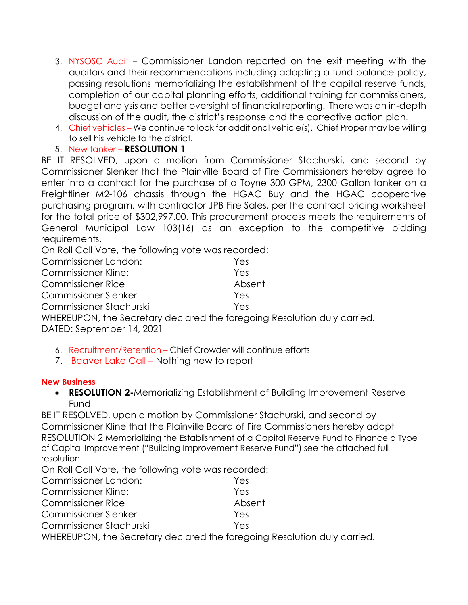- 3. NYSOSC Audit Commissioner Landon reported on the exit meeting with the auditors and their recommendations including adopting a fund balance policy, passing resolutions memorializing the establishment of the capital reserve funds, completion of our capital planning efforts, additional training for commissioners, budget analysis and better oversight of financial reporting. There was an in-depth discussion of the audit, the district's response and the corrective action plan.
- 4. Chief vehicles We continue to look for additional vehicle(s). Chief Proper may be willing to sell his vehicle to the district.
- 5. New tanker **RESOLUTION 1**

BE IT RESOLVED, upon a motion from Commissioner Stachurski, and second by Commissioner Slenker that the Plainville Board of Fire Commissioners hereby agree to enter into a contract for the purchase of a Toyne 300 GPM, 2300 Gallon tanker on a Freightliner M2-106 chassis through the HGAC Buy and the HGAC cooperative purchasing program, with contractor JPB Fire Sales, per the contract pricing worksheet for the total price of \$302,997.00. This procurement process meets the requirements of General Municipal Law 103(16) as an exception to the competitive bidding requirements.

On Roll Call Vote, the following vote was recorded:

| Commissioner Landon:                                                     | Yes    |
|--------------------------------------------------------------------------|--------|
| <b>Commissioner Kline:</b>                                               | Yes    |
| <b>Commissioner Rice</b>                                                 | Absent |
| <b>Commissioner Slenker</b>                                              | Yes    |
| Commissioner Stachurski                                                  | Yes    |
| WHEREUPON, the Secretary declared the foregoing Resolution duly carried. |        |
| DATED: September 14, 2021                                                |        |

- 6. Recruitment/Retention Chief Crowder will continue efforts
- 7. Beaver Lake Call Nothing new to report

### **New Business**

 **RESOLUTION 2-**Memorializing Establishment of Building Improvement Reserve Fund

BE IT RESOLVED, upon a motion by Commissioner Stachurski, and second by Commissioner Kline that the Plainville Board of Fire Commissioners hereby adopt RESOLUTION 2 Memorializing the Establishment of a Capital Reserve Fund to Finance a Type of Capital Improvement ("Building Improvement Reserve Fund") see the attached full resolution

On Roll Call Vote, the following vote was recorded:

| Commissioner Landon:        | Yes    |
|-----------------------------|--------|
| <b>Commissioner Kline:</b>  | Yes    |
| <b>Commissioner Rice</b>    | Absent |
| <b>Commissioner Slenker</b> | Yes    |
| Commissioner Stachurski     | Yes    |
| $11111$ $\blacksquare$      |        |

WHEREUPON, the Secretary declared the foregoing Resolution duly carried.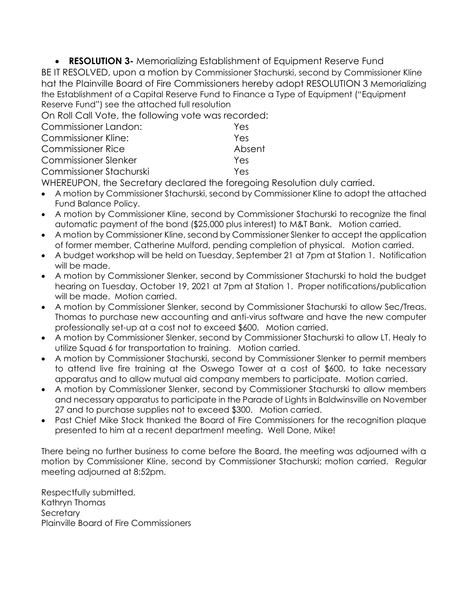**RESOLUTION 3-** Memorializing Establishment of Equipment Reserve Fund BE IT RESOLVED, upon a motion by Commissioner Stachurski, second by Commissioner Kline hat the Plainville Board of Fire Commissioners hereby adopt RESOLUTION 3 Memorializing the Establishment of a Capital Reserve Fund to Finance a Type of Equipment ("Equipment Reserve Fund") see the attached full resolution

On Roll Call Vote, the following vote was recorded:

| Commissioner Landon:        | Yes    |
|-----------------------------|--------|
| <b>Commissioner Kline:</b>  | Yes    |
| <b>Commissioner Rice</b>    | Absent |
| <b>Commissioner Slenker</b> | Yes    |
| Commissioner Stachurski     | Yes    |
|                             |        |

WHEREUPON, the Secretary declared the foregoing Resolution duly carried.

- A motion by Commissioner Stachurski, second by Commissioner Kline to adopt the attached Fund Balance Policy.
- A motion by Commissioner Kline, second by Commissioner Stachurski to recognize the final automatic payment of the bond (\$25,000 plus interest) to M&T Bank. Motion carried.
- A motion by Commissioner Kline, second by Commissioner Slenker to accept the application of former member, Catherine Mulford, pending completion of physical. Motion carried.
- A budget workshop will be held on Tuesday, September 21 at 7pm at Station 1. Notification will be made.
- A motion by Commissioner Slenker, second by Commissioner Stachurski to hold the budget hearing on Tuesday, October 19, 2021 at 7pm at Station 1. Proper notifications/publication will be made. Motion carried.
- A motion by Commissioner Slenker, second by Commissioner Stachurski to allow Sec/Treas. Thomas to purchase new accounting and anti-virus software and have the new computer professionally set-up at a cost not to exceed \$600. Motion carried.
- A motion by Commissioner Slenker, second by Commissioner Stachurski to allow LT. Healy to utilize Squad 6 for transportation to training. Motion carried.
- A motion by Commissioner Stachurski, second by Commissioner Slenker to permit members to attend live fire training at the Oswego Tower at a cost of \$600, to take necessary apparatus and to allow mutual aid company members to participate. Motion carried.
- A motion by Commissioner Slenker, second by Commissioner Stachurski to allow members and necessary apparatus to participate in the Parade of Lights in Baldwinsville on November 27 and to purchase supplies not to exceed \$300. Motion carried.
- Past Chief Mike Stock thanked the Board of Fire Commissioners for the recognition plaque presented to him at a recent department meeting. Well Done, Mike!

There being no further business to come before the Board, the meeting was adjourned with a motion by Commissioner Kline, second by Commissioner Stachurski; motion carried. Regular meeting adjourned at 8:52pm.

Respectfully submitted, Kathryn Thomas **Secretary** Plainville Board of Fire Commissioners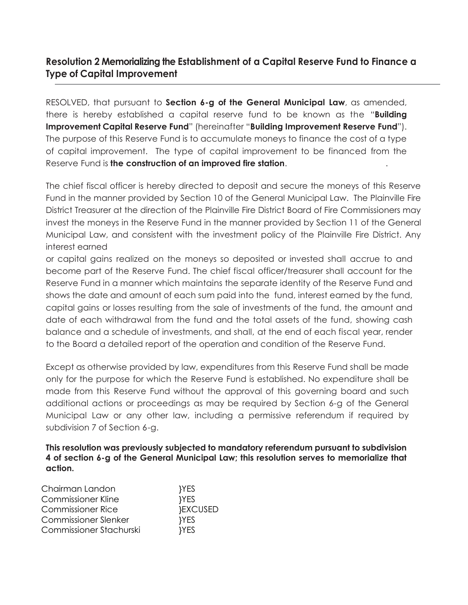## **Resolution 2 Memorializing the Establishment of a Capital Reserve Fund to Finance a Type of Capital Improvement**

RESOLVED, that pursuant to **Section 6-g of the General Municipal Law**, as amended, there is hereby established a capital reserve fund to be known as the "**Building Improvement Capital Reserve Fund**" (hereinafter "**Building Improvement Reserve Fund**"). The purpose of this Reserve Fund is to accumulate moneys to finance the cost of a type of capital improvement. The type of capital improvement to be financed from the Reserve Fund is **the construction of an improved fire station**. .

The chief fiscal officer is hereby directed to deposit and secure the moneys of this Reserve Fund in the manner provided by Section 10 of the General Municipal Law. The Plainville Fire District Treasurer at the direction of the Plainville Fire District Board of Fire Commissioners may invest the moneys in the Reserve Fund in the manner provided by Section 11 of the General Municipal Law, and consistent with the investment policy of the Plainville Fire District. Any interest earned

or capital gains realized on the moneys so deposited or invested shall accrue to and become part of the Reserve Fund. The chief fiscal officer/treasurer shall account for the Reserve Fund in a manner which maintains the separate identity of the Reserve Fund and shows the date and amount of each sum paid into the fund, interest earned by the fund, capital gains or losses resulting from the sale of investments of the fund, the amount and date of each withdrawal from the fund and the total assets of the fund, showing cash balance and a schedule of investments, and shall, at the end of each fiscal year, render to the Board a detailed report of the operation and condition of the Reserve Fund.

Except as otherwise provided by law, expenditures from this Reserve Fund shall be made only for the purpose for which the Reserve Fund is established. No expenditure shall be made from this Reserve Fund without the approval of this governing board and such additional actions or proceedings as may be required by Section 6-g of the General Municipal Law or any other law, including a permissive referendum if required by subdivision 7 of Section 6-g.

**This resolution was previously subjected to mandatory referendum pursuant to subdivision 4 of section 6-g of the General Municipal Law; this resolution serves to memorialize that action.**

| Chairman Landon             | }YES       |  |
|-----------------------------|------------|--|
| Commissioner Kline          | }YES       |  |
| <b>Commissioner Rice</b>    | }EXCUSED   |  |
| <b>Commissioner Slenker</b> | <b>YES</b> |  |
| Commissioner Stachurski     | <b>YES</b> |  |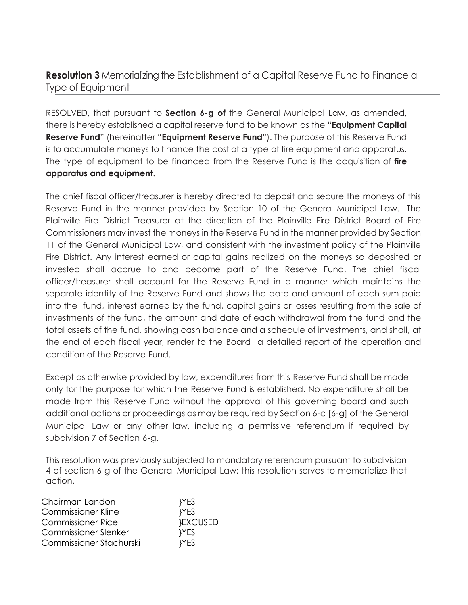## **Resolution 3** Memorializing the Establishment of a Capital Reserve Fund to Finance a Type of Equipment

RESOLVED, that pursuant to **Section 6-g of** the General Municipal Law, as amended, there is hereby established a capital reserve fund to be known as the "**Equipment Capital Reserve Fund**" (hereinafter "**Equipment Reserve Fund**"). The purpose of this Reserve Fund is to accumulate moneys to finance the cost of a type of fire equipment and apparatus. The type of equipment to be financed from the Reserve Fund is the acquisition of **fire apparatus and equipment**.

The chief fiscal officer/treasurer is hereby directed to deposit and secure the moneys of this Reserve Fund in the manner provided by Section 10 of the General Municipal Law. The Plainville Fire District Treasurer at the direction of the Plainville Fire District Board of Fire Commissioners may invest the moneys in the Reserve Fund in the manner provided by Section 11 of the General Municipal Law, and consistent with the investment policy of the Plainville Fire District. Any interest earned or capital gains realized on the moneys so deposited or invested shall accrue to and become part of the Reserve Fund. The chief fiscal officer/treasurer shall account for the Reserve Fund in a manner which maintains the separate identity of the Reserve Fund and shows the date and amount of each sum paid into the fund, interest earned by the fund, capital gains or losses resulting from the sale of investments of the fund, the amount and date of each withdrawal from the fund and the total assets of the fund, showing cash balance and a schedule of investments, and shall, at the end of each fiscal year, render to the Board a detailed report of the operation and condition of the Reserve Fund.

Except as otherwise provided by law, expenditures from this Reserve Fund shall be made only for the purpose for which the Reserve Fund is established. No expenditure shall be made from this Reserve Fund without the approval of this governing board and such additional actions or proceedings as may be required by Section 6-c [6-g] of the General Municipal Law or any other law, including a permissive referendum if required by subdivision 7 of Section 6-g.

This resolution was previously subjected to mandatory referendum pursuant to subdivision 4 of section 6-g of the General Municipal Law; this resolution serves to memorialize that action.

| }YES            |  |
|-----------------|--|
| <b>YES</b>      |  |
| <b>}EXCUSED</b> |  |
| <b>YES</b>      |  |
| <b>YES</b>      |  |
|                 |  |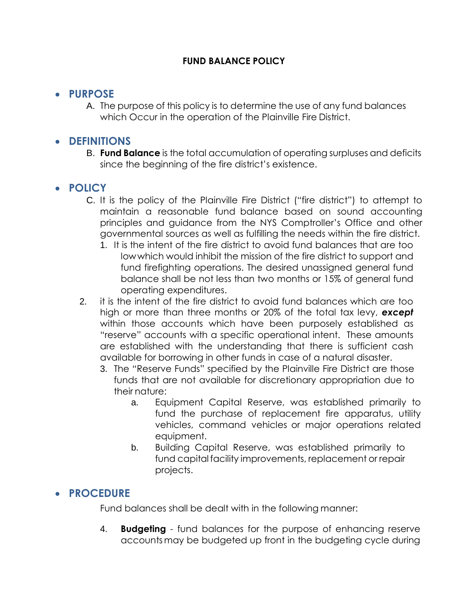## **FUND BALANCE POLICY**

## **PURPOSE**

A. The purpose of this policy is to determine the use of any fund balances which Occur in the operation of the Plainville Fire District.

# **DEFINITIONS**

B. **Fund Balance** is the total accumulation of operating surpluses and deficits since the beginning of the fire district's existence.

# **POLICY**

- C. It is the policy of the Plainville Fire District ("fire district") to attempt to maintain a reasonable fund balance based on sound accounting principles and guidance from the NYS Comptroller's Office and other governmental sources as well as fulfilling the needs within the fire district.
	- 1. It is the intent of the fire district to avoid fund balances that are too lowwhich would inhibit the mission of the fire district to support and fund firefighting operations. The desired unassigned general fund balance shall be not less than two months or 15% of general fund operating expenditures.
- 2. it is the intent of the fire district to avoid fund balances which are too high or more than three months or 20% of the total tax levy, *except*  within those accounts which have been purposely established as "reserve" accounts with a specific operational intent. These amounts are established with the understanding that there is sufficient cash available for borrowing in other funds in case of a natural disaster.
	- 3. The "Reserve Funds" specified by the Plainville Fire District are those funds that are not available for discretionary appropriation due to their nature:
		- a. Equipment Capital Reserve, was established primarily to fund the purchase of replacement fire apparatus, utility vehicles, command vehicles or major operations related equipment.
		- b. Building Capital Reserve, was established primarily to fund capital facility improvements, replacement or repair projects.

# **PROCEDURE**

Fund balances shall be dealt with in the following manner:

4. **Budgeting** - fund balances for the purpose of enhancing reserve accounts may be budgeted up front in the budgeting cycle during